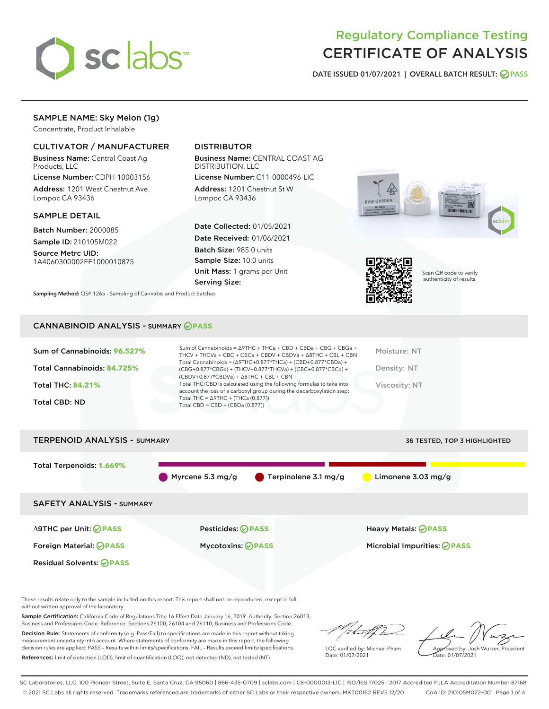

## Regulatory Compliance Testing CERTIFICATE OF ANALYSIS

DATE ISSUED 01/07/2021 | OVERALL BATCH RESULT: @ PASS

#### SAMPLE NAME: Sky Melon (1g)

Concentrate, Product Inhalable

#### CULTIVATOR / MANUFACTURER

Business Name: Central Coast Ag Products, LLC

License Number: CDPH-10003156 Address: 1201 West Chestnut Ave. Lompoc CA 93436

#### SAMPLE DETAIL

Batch Number: 2000085 Sample ID: 210105M022

Source Metrc UID: 1A4060300002EE1000010875

#### DISTRIBUTOR

Business Name: CENTRAL COAST AG DISTRIBUTION, LLC

License Number: C11-0000496-LIC Address: 1201 Chestnut St W Lompoc CA 93436

Date Collected: 01/05/2021 Date Received: 01/06/2021 Batch Size: 985.0 units Sample Size: 10.0 units Unit Mass: 1 grams per Unit Serving Size:





Scan QR code to verify authenticity of results.

Sampling Method: QSP 1265 - Sampling of Cannabis and Product Batches

#### CANNABINOID ANALYSIS - SUMMARY **PASS**

| Sum of Cannabinoids: 96.527% | Sum of Cannabinoids = ∆9THC + THCa + CBD + CBDa + CBG + CBGa +<br>THCV + THCVa + CBC + CBCa + CBDV + CBDVa + $\Delta$ 8THC + CBL + CBN                                               | Moisture: NT  |
|------------------------------|--------------------------------------------------------------------------------------------------------------------------------------------------------------------------------------|---------------|
| Total Cannabinoids: 84.725%  | Total Cannabinoids = $(\Delta$ 9THC+0.877*THCa) + (CBD+0.877*CBDa) +<br>(CBG+0.877*CBGa) + (THCV+0.877*THCVa) + (CBC+0.877*CBCa) +<br>$(CBDV+0.877*CBDVa) + \Delta 8THC + CBL + CBN$ | Density: NT   |
| <b>Total THC: 84.21%</b>     | Total THC/CBD is calculated using the following formulas to take into<br>account the loss of a carboxyl group during the decarboxylation step:                                       | Viscosity: NT |
| <b>Total CBD: ND</b>         | Total THC = $\triangle$ 9THC + (THCa (0.877))<br>Total CBD = $CBD + (CBDa (0.877))$                                                                                                  |               |
|                              |                                                                                                                                                                                      |               |



These results relate only to the sample included on this report. This report shall not be reproduced, except in full, without written approval of the laboratory.

Sample Certification: California Code of Regulations Title 16 Effect Date January 16, 2019. Authority: Section 26013, Business and Professions Code. Reference: Sections 26100, 26104 and 26110, Business and Professions Code.

Decision Rule: Statements of conformity (e.g. Pass/Fail) to specifications are made in this report without taking measurement uncertainty into account. Where statements of conformity are made in this report, the following decision rules are applied: PASS – Results within limits/specifications, FAIL – Results exceed limits/specifications. References: limit of detection (LOD), limit of quantification (LOQ), not detected (ND), not tested (NT)

that fCh

LQC verified by: Michael Pham Date: 01/07/2021

Approved by: Josh Wurzer, President ate: 01/07/2021

SC Laboratories, LLC. 100 Pioneer Street, Suite E, Santa Cruz, CA 95060 | 866-435-0709 | sclabs.com | C8-0000013-LIC | ISO/IES 17025 : 2017 Accredited PJLA Accreditation Number 87168 © 2021 SC Labs all rights reserved. Trademarks referenced are trademarks of either SC Labs or their respective owners. MKT00162 REV5 12/20 CoA ID: 210105M022-001 Page 1 of 4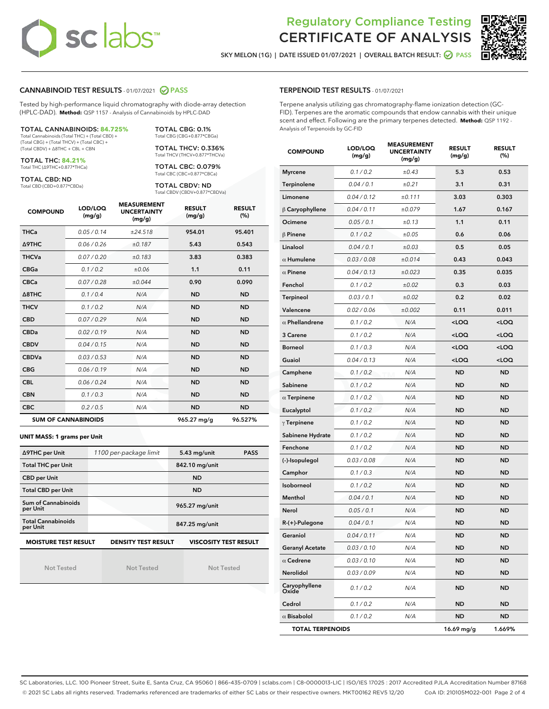## **sc labs**™

### Regulatory Compliance Testing CERTIFICATE OF ANALYSIS



SKY MELON (1G) | DATE ISSUED 01/07/2021 | OVERALL BATCH RESULT: @ PASS

#### CANNABINOID TEST RESULTS - 01/07/2021 2 PASS

Tested by high-performance liquid chromatography with diode-array detection (HPLC-DAD). **Method:** QSP 1157 - Analysis of Cannabinoids by HPLC-DAD

| <b>TOTAL CANNABINOIDS: 84.725%</b>             |
|------------------------------------------------|
| Total Cannabinoids (Total THC) + (Total CBD) + |

(Total CBG) + (Total THCV) + (Total CBC) + (Total CBDV) + ∆8THC + CBL + CBN

TOTAL THC: **84.21%** Total THC (∆9THC+0.877\*THCa)

TOTAL CBD: ND

Total CBD (CBD+0.877\*CBDa)

TOTAL CBG: 0.1% Total CBG (CBG+0.877\*CBGa) TOTAL THCV: 0.336%

Total THCV (THCV+0.877\*THCVa) TOTAL CBC: 0.079% Total CBC (CBC+0.877\*CBCa)

TOTAL CBDV: ND Total CBDV (CBDV+0.877\*CBDVa)

| <b>COMPOUND</b> | LOD/LOQ<br>(mg/g)          | <b>MEASUREMENT</b><br><b>UNCERTAINTY</b><br>(mg/g) | <b>RESULT</b><br>(mg/g) | <b>RESULT</b><br>(%) |
|-----------------|----------------------------|----------------------------------------------------|-------------------------|----------------------|
| <b>THCa</b>     | 0.05 / 0.14                | ±24.518                                            | 954.01                  | 95.401               |
| <b>A9THC</b>    | 0.06 / 0.26                | ±0.187                                             | 5.43                    | 0.543                |
| <b>THCVa</b>    | 0.07/0.20                  | ±0.183                                             | 3.83                    | 0.383                |
| <b>CBGa</b>     | 0.1/0.2                    | ±0.06                                              | 1.1                     | 0.11                 |
| <b>CBCa</b>     | 0.07/0.28                  | ±0.044                                             | 0.90                    | 0.090                |
| A8THC           | 0.1/0.4                    | N/A                                                | <b>ND</b>               | <b>ND</b>            |
| <b>THCV</b>     | 0.1 / 0.2                  | N/A                                                | <b>ND</b>               | <b>ND</b>            |
| <b>CBD</b>      | 0.07/0.29                  | N/A                                                | <b>ND</b>               | <b>ND</b>            |
| <b>CBDa</b>     | 0.02/0.19                  | N/A                                                | <b>ND</b>               | <b>ND</b>            |
| <b>CBDV</b>     | 0.04 / 0.15                | N/A                                                | <b>ND</b>               | <b>ND</b>            |
| <b>CBDVa</b>    | 0.03/0.53                  | N/A                                                | <b>ND</b>               | <b>ND</b>            |
| <b>CBG</b>      | 0.06/0.19                  | N/A                                                | <b>ND</b>               | <b>ND</b>            |
| <b>CBL</b>      | 0.06/0.24                  | N/A                                                | <b>ND</b>               | <b>ND</b>            |
| <b>CBN</b>      | 0.1 / 0.3                  | N/A                                                | <b>ND</b>               | <b>ND</b>            |
| <b>CBC</b>      | 0.2 / 0.5                  | N/A                                                | <b>ND</b>               | <b>ND</b>            |
|                 | <b>SUM OF CANNABINOIDS</b> |                                                    | 965.27 mg/g             | 96.527%              |

**UNIT MASS: 1 grams per Unit**

| ∆9THC per Unit                                                                            | 1100 per-package limit | $5.43$ mg/unit<br><b>PASS</b> |  |  |  |
|-------------------------------------------------------------------------------------------|------------------------|-------------------------------|--|--|--|
| <b>Total THC per Unit</b>                                                                 |                        | 842.10 mg/unit                |  |  |  |
| <b>CBD per Unit</b>                                                                       |                        | <b>ND</b>                     |  |  |  |
| <b>Total CBD per Unit</b>                                                                 |                        | <b>ND</b>                     |  |  |  |
| Sum of Cannabinoids<br>per Unit                                                           |                        | 965.27 mg/unit                |  |  |  |
| <b>Total Cannabinoids</b><br>per Unit                                                     |                        | 847.25 mg/unit                |  |  |  |
| <b>MOISTURE TEST RESULT</b><br><b>VISCOSITY TEST RESULT</b><br><b>DENSITY TEST RESULT</b> |                        |                               |  |  |  |

Not Tested

Not Tested

Not Tested

#### TERPENOID TEST RESULTS - 01/07/2021

Terpene analysis utilizing gas chromatography-flame ionization detection (GC-FID). Terpenes are the aromatic compounds that endow cannabis with their unique scent and effect. Following are the primary terpenes detected. **Method:** QSP 1192 - Analysis of Terpenoids by GC-FID

| <b>COMPOUND</b>         | LOD/LOQ<br>(mg/g) | <b>MEASUREMENT</b><br><b>UNCERTAINTY</b><br>(mg/g) | <b>RESULT</b><br>(mg/g)                         | <b>RESULT</b><br>(%) |
|-------------------------|-------------------|----------------------------------------------------|-------------------------------------------------|----------------------|
| <b>Myrcene</b>          | 0.1 / 0.2         | $\pm 0.43$                                         | 5.3                                             | 0.53                 |
| Terpinolene             | 0.04 / 0.1        | $\pm 0.21$                                         | 3.1                                             | 0.31                 |
| Limonene                | 0.04 / 0.12       | ±0.111                                             | 3.03                                            | 0.303                |
| $\beta$ Caryophyllene   | 0.04 / 0.11       | ±0.079                                             | 1.67                                            | 0.167                |
| Ocimene                 | 0.05 / 0.1        | ±0.13                                              | 1.1                                             | 0.11                 |
| $\beta$ Pinene          | 0.1 / 0.2         | ±0.05                                              | 0.6                                             | 0.06                 |
| Linalool                | 0.04 / 0.1        | ±0.03                                              | 0.5                                             | 0.05                 |
| $\alpha$ Humulene       | 0.03 / 0.08       | ±0.014                                             | 0.43                                            | 0.043                |
| $\alpha$ Pinene         | 0.04 / 0.13       | ±0.023                                             | 0.35                                            | 0.035                |
| Fenchol                 | 0.1 / 0.2         | ±0.02                                              | 0.3                                             | 0.03                 |
| Terpineol               | 0.03 / 0.1        | ±0.02                                              | 0.2                                             | 0.02                 |
| Valencene               | 0.02 / 0.06       | ±0.002                                             | 0.11                                            | 0.011                |
| $\alpha$ Phellandrene   | 0.1 / 0.2         | N/A                                                | <loq< th=""><th><loq< th=""></loq<></th></loq<> | <loq< th=""></loq<>  |
| 3 Carene                | 0.1 / 0.2         | N/A                                                | <loq< th=""><th><loq< th=""></loq<></th></loq<> | <loq< th=""></loq<>  |
| <b>Borneol</b>          | 0.1 / 0.3         | N/A                                                | <loq< th=""><th><loq< th=""></loq<></th></loq<> | <loq< th=""></loq<>  |
| Guaiol                  | 0.04 / 0.13       | N/A                                                | $<$ LOQ                                         | <loq< th=""></loq<>  |
| Camphene                | 0.1 / 0.2         | N/A                                                | ND                                              | <b>ND</b>            |
| Sabinene                | 0.1 / 0.2         | N/A                                                | <b>ND</b>                                       | <b>ND</b>            |
| $\alpha$ Terpinene      | 0.1 / 0.2         | N/A                                                | <b>ND</b>                                       | <b>ND</b>            |
| Eucalyptol              | 0.1 / 0.2         | N/A                                                | ND                                              | <b>ND</b>            |
| $\gamma$ Terpinene      | 0.1 / 0.2         | N/A                                                | <b>ND</b>                                       | <b>ND</b>            |
| Sabinene Hydrate        | 0.1 / 0.2         | N/A                                                | <b>ND</b>                                       | <b>ND</b>            |
| Fenchone                | 0.1 / 0.2         | N/A                                                | ND                                              | <b>ND</b>            |
| (-)-Isopulegol          | 0.03 / 0.08       | N/A                                                | <b>ND</b>                                       | <b>ND</b>            |
| Camphor                 | 0.1 / 0.3         | N/A                                                | ND                                              | <b>ND</b>            |
| Isoborneol              | 0.1 / 0.2         | N/A                                                | ND                                              | <b>ND</b>            |
| Menthol                 | 0.04 / 0.1        | N/A                                                | <b>ND</b>                                       | <b>ND</b>            |
| Nerol                   | 0.05 / 0.1        | N/A                                                | <b>ND</b>                                       | <b>ND</b>            |
| $R-(+)$ -Pulegone       | 0.04 / 0.1        | N/A                                                | ND                                              | <b>ND</b>            |
| Geraniol                | 0.04 / 0.11       | N/A                                                | <b>ND</b>                                       | <b>ND</b>            |
| <b>Geranyl Acetate</b>  | 0.03 / 0.10       | N/A                                                | ND                                              | ND                   |
| $\alpha$ Cedrene        | 0.03 / 0.10       | N/A                                                | ND                                              | ND                   |
| Nerolidol               | 0.03 / 0.09       | N/A                                                | ND                                              | ND                   |
| Caryophyllene<br>Oxide  | 0.1 / 0.2         | N/A                                                | ND                                              | <b>ND</b>            |
| Cedrol                  | 0.1 / 0.2         | N/A                                                | ND                                              | ND                   |
| $\alpha$ Bisabolol      | 0.1 / 0.2         | N/A                                                | <b>ND</b>                                       | ND                   |
| <b>TOTAL TERPENOIDS</b> |                   |                                                    | 16.69 mg/g                                      | 1.669%               |

SC Laboratories, LLC. 100 Pioneer Street, Suite E, Santa Cruz, CA 95060 | 866-435-0709 | sclabs.com | C8-0000013-LIC | ISO/IES 17025 : 2017 Accredited PJLA Accreditation Number 87168 © 2021 SC Labs all rights reserved. Trademarks referenced are trademarks of either SC Labs or their respective owners. MKT00162 REV5 12/20 CoA ID: 210105M022-001 Page 2 of 4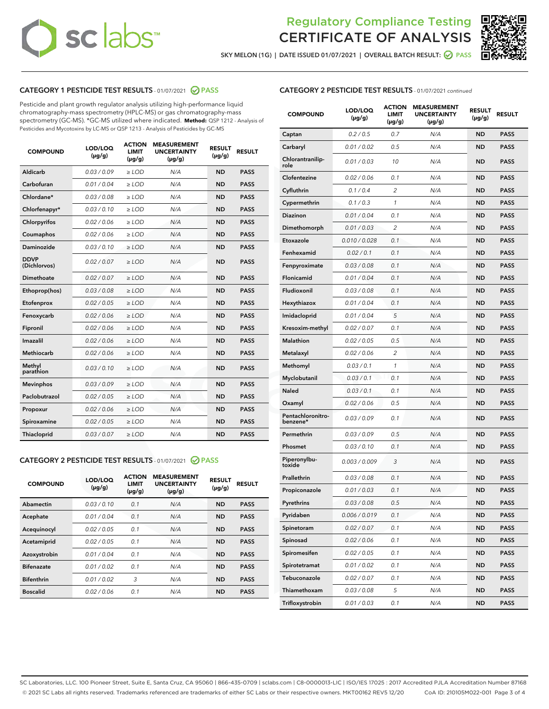# **sc labs**™

### Regulatory Compliance Testing CERTIFICATE OF ANALYSIS



SKY MELON (1G) | DATE ISSUED 01/07/2021 | OVERALL BATCH RESULT: 0 PASS

#### CATEGORY 1 PESTICIDE TEST RESULTS - 01/07/2021 @ PASS

Pesticide and plant growth regulator analysis utilizing high-performance liquid chromatography-mass spectrometry (HPLC-MS) or gas chromatography-mass spectrometry (GC-MS). \*GC-MS utilized where indicated. **Method:** QSP 1212 - Analysis of Pesticides and Mycotoxins by LC-MS or QSP 1213 - Analysis of Pesticides by GC-MS

| <b>COMPOUND</b>             | LOD/LOQ<br>$(\mu g/g)$ | <b>ACTION</b><br><b>LIMIT</b><br>$(\mu g/g)$ | <b>MEASUREMENT</b><br><b>UNCERTAINTY</b><br>$(\mu g/g)$ | <b>RESULT</b><br>$(\mu g/g)$ | <b>RESULT</b> |
|-----------------------------|------------------------|----------------------------------------------|---------------------------------------------------------|------------------------------|---------------|
| Aldicarb                    | 0.03 / 0.09            | $\geq$ LOD                                   | N/A                                                     | <b>ND</b>                    | <b>PASS</b>   |
| Carbofuran                  | 0.01 / 0.04            | ≥ LOD                                        | N/A                                                     | <b>ND</b>                    | <b>PASS</b>   |
| Chlordane*                  | 0.03 / 0.08            | ≥ LOD                                        | N/A                                                     | <b>ND</b>                    | <b>PASS</b>   |
| Chlorfenapyr*               | 0.03/0.10              | ≥ LOD                                        | N/A                                                     | <b>ND</b>                    | <b>PASS</b>   |
| Chlorpyrifos                | 0.02/0.06              | $>$ LOD                                      | N/A                                                     | <b>ND</b>                    | <b>PASS</b>   |
| Coumaphos                   | 0.02 / 0.06            | $\geq$ LOD                                   | N/A                                                     | <b>ND</b>                    | <b>PASS</b>   |
| Daminozide                  | 0.03/0.10              | $>$ LOD                                      | N/A                                                     | <b>ND</b>                    | <b>PASS</b>   |
| <b>DDVP</b><br>(Dichlorvos) | 0.02 / 0.07            | $\geq$ LOD                                   | N/A                                                     | <b>ND</b>                    | <b>PASS</b>   |
| <b>Dimethoate</b>           | 0.02 / 0.07            | $\geq$ LOD                                   | N/A                                                     | <b>ND</b>                    | <b>PASS</b>   |
| Ethoprop(hos)               | 0.03/0.08              | $>$ LOD                                      | N/A                                                     | <b>ND</b>                    | <b>PASS</b>   |
| Etofenprox                  | 0.02 / 0.05            | $\geq$ LOD                                   | N/A                                                     | <b>ND</b>                    | <b>PASS</b>   |
| Fenoxycarb                  | 0.02 / 0.06            | $\geq$ LOD                                   | N/A                                                     | <b>ND</b>                    | <b>PASS</b>   |
| Fipronil                    | 0.02 / 0.06            | $\geq$ LOD                                   | N/A                                                     | <b>ND</b>                    | <b>PASS</b>   |
| Imazalil                    | 0.02 / 0.06            | $>$ LOD                                      | N/A                                                     | <b>ND</b>                    | <b>PASS</b>   |
| <b>Methiocarb</b>           | 0.02 / 0.06            | ≥ LOD                                        | N/A                                                     | <b>ND</b>                    | <b>PASS</b>   |
| Methyl<br>parathion         | 0.03/0.10              | $\geq$ LOD                                   | N/A                                                     | <b>ND</b>                    | <b>PASS</b>   |
| <b>Mevinphos</b>            | 0.03/0.09              | $\geq$ LOD                                   | N/A                                                     | <b>ND</b>                    | <b>PASS</b>   |
| Paclobutrazol               | 0.02 / 0.05            | $\geq$ LOD                                   | N/A                                                     | <b>ND</b>                    | <b>PASS</b>   |
| Propoxur                    | 0.02 / 0.06            | $>$ LOD                                      | N/A                                                     | <b>ND</b>                    | <b>PASS</b>   |
| Spiroxamine                 | 0.02 / 0.05            | $\geq$ LOD                                   | N/A                                                     | <b>ND</b>                    | <b>PASS</b>   |
| Thiacloprid                 | 0.03 / 0.07            | $\geq$ LOD                                   | N/A                                                     | <b>ND</b>                    | <b>PASS</b>   |
|                             |                        |                                              |                                                         |                              |               |

#### CATEGORY 2 PESTICIDE TEST RESULTS - 01/07/2021 @ PASS

| <b>COMPOUND</b>   | LOD/LOQ<br>$(\mu g/g)$ | <b>ACTION</b><br>LIMIT<br>$(\mu g/g)$ | <b>MEASUREMENT</b><br><b>UNCERTAINTY</b><br>$(\mu g/g)$ | <b>RESULT</b><br>$(\mu g/g)$ | <b>RESULT</b> |
|-------------------|------------------------|---------------------------------------|---------------------------------------------------------|------------------------------|---------------|
| Abamectin         | 0.03/0.10              | 0.1                                   | N/A                                                     | <b>ND</b>                    | <b>PASS</b>   |
| Acephate          | 0.01/0.04              | 0.1                                   | N/A                                                     | <b>ND</b>                    | <b>PASS</b>   |
| Acequinocyl       | 0.02/0.05              | 0.1                                   | N/A                                                     | <b>ND</b>                    | <b>PASS</b>   |
| Acetamiprid       | 0.02/0.05              | 0.1                                   | N/A                                                     | <b>ND</b>                    | <b>PASS</b>   |
| Azoxystrobin      | 0.01/0.04              | 0.1                                   | N/A                                                     | <b>ND</b>                    | <b>PASS</b>   |
| <b>Bifenazate</b> | 0.01/0.02              | 0.1                                   | N/A                                                     | <b>ND</b>                    | <b>PASS</b>   |
| <b>Bifenthrin</b> | 0.01/0.02              | 3                                     | N/A                                                     | <b>ND</b>                    | <b>PASS</b>   |
| <b>Boscalid</b>   | 0.02 / 0.06            | 0.1                                   | N/A                                                     | <b>ND</b>                    | <b>PASS</b>   |

#### CATEGORY 2 PESTICIDE TEST RESULTS - 01/07/2021 continued

| <b>COMPOUND</b>               | <b>LOD/LOQ</b><br>$(\mu g/g)$ | <b>ACTION</b><br>LIMIT<br>$(\mu g/g)$ | <b>MEASUREMENT</b><br><b>UNCERTAINTY</b><br>(µg/g) | <b>RESULT</b><br>(µg/g) | <b>RESULT</b> |
|-------------------------------|-------------------------------|---------------------------------------|----------------------------------------------------|-------------------------|---------------|
| Captan                        | 0.2 / 0.5                     | 0.7                                   | N/A                                                | <b>ND</b>               | <b>PASS</b>   |
| Carbaryl                      | 0.01 / 0.02                   | 0.5                                   | N/A                                                | ND                      | <b>PASS</b>   |
| Chlorantranilip-<br>role      | 0.01 / 0.03                   | 10                                    | N/A                                                | <b>ND</b>               | <b>PASS</b>   |
| Clofentezine                  | 0.02 / 0.06                   | 0.1                                   | N/A                                                | ND                      | <b>PASS</b>   |
| Cyfluthrin                    | 0.1 / 0.4                     | $\overline{2}$                        | N/A                                                | ND                      | <b>PASS</b>   |
| Cypermethrin                  | 0.1 / 0.3                     | 1                                     | N/A                                                | ND                      | <b>PASS</b>   |
| <b>Diazinon</b>               | 0.01 / 0.04                   | 0.1                                   | N/A                                                | ND                      | <b>PASS</b>   |
| Dimethomorph                  | 0.01 / 0.03                   | 2                                     | N/A                                                | <b>ND</b>               | <b>PASS</b>   |
| Etoxazole                     | 0.010 / 0.028                 | 0.1                                   | N/A                                                | ND                      | <b>PASS</b>   |
| Fenhexamid                    | 0.02 / 0.1                    | 0.1                                   | N/A                                                | ND                      | <b>PASS</b>   |
| Fenpyroximate                 | 0.03 / 0.08                   | 0.1                                   | N/A                                                | <b>ND</b>               | <b>PASS</b>   |
| Flonicamid                    | 0.01 / 0.04                   | 0.1                                   | N/A                                                | ND                      | <b>PASS</b>   |
| Fludioxonil                   | 0.03 / 0.08                   | 0.1                                   | N/A                                                | ND                      | <b>PASS</b>   |
| Hexythiazox                   | 0.01 / 0.04                   | 0.1                                   | N/A                                                | <b>ND</b>               | <b>PASS</b>   |
| Imidacloprid                  | 0.01 / 0.04                   | 5                                     | N/A                                                | ND                      | <b>PASS</b>   |
| Kresoxim-methyl               | 0.02 / 0.07                   | 0.1                                   | N/A                                                | ND                      | <b>PASS</b>   |
| <b>Malathion</b>              | 0.02 / 0.05                   | 0.5                                   | N/A                                                | ND                      | <b>PASS</b>   |
| Metalaxyl                     | 0.02 / 0.06                   | 2                                     | N/A                                                | ND                      | <b>PASS</b>   |
| Methomyl                      | 0.03 / 0.1                    | 1                                     | N/A                                                | ND                      | <b>PASS</b>   |
| Myclobutanil                  | 0.03 / 0.1                    | 0.1                                   | N/A                                                | <b>ND</b>               | <b>PASS</b>   |
| <b>Naled</b>                  | 0.03 / 0.1                    | 0.1                                   | N/A                                                | ND                      | <b>PASS</b>   |
| Oxamyl                        | 0.02 / 0.06                   | 0.5                                   | N/A                                                | ND                      | <b>PASS</b>   |
| Pentachloronitro-<br>benzene* | 0.03 / 0.09                   | 0.1                                   | N/A                                                | ND                      | <b>PASS</b>   |
| Permethrin                    | 0.03 / 0.09                   | 0.5                                   | N/A                                                | ND                      | <b>PASS</b>   |
| Phosmet                       | 0.03 / 0.10                   | 0.1                                   | N/A                                                | ND                      | <b>PASS</b>   |
| Piperonylbu-<br>toxide        | 0.003 / 0.009                 | 3                                     | N/A                                                | <b>ND</b>               | <b>PASS</b>   |
| Prallethrin                   | 0.03 / 0.08                   | 0.1                                   | N/A                                                | <b>ND</b>               | <b>PASS</b>   |
| Propiconazole                 | 0.01 / 0.03                   | 0.1                                   | N/A                                                | ND                      | <b>PASS</b>   |
| Pyrethrins                    | 0.03 / 0.08                   | 0.5                                   | N/A                                                | ND                      | PASS          |
| Pyridaben                     | 0.006 / 0.019                 | 0.1                                   | N/A                                                | <b>ND</b>               | <b>PASS</b>   |
| Spinetoram                    | 0.02 / 0.07                   | 0.1                                   | N/A                                                | <b>ND</b>               | <b>PASS</b>   |
| Spinosad                      | 0.02 / 0.06                   | 0.1                                   | N/A                                                | ND                      | <b>PASS</b>   |
| Spiromesifen                  | 0.02 / 0.05                   | 0.1                                   | N/A                                                | <b>ND</b>               | <b>PASS</b>   |
| Spirotetramat                 | 0.01 / 0.02                   | 0.1                                   | N/A                                                | <b>ND</b>               | <b>PASS</b>   |
| Tebuconazole                  | 0.02 / 0.07                   | 0.1                                   | N/A                                                | ND                      | <b>PASS</b>   |
| Thiamethoxam                  | 0.03 / 0.08                   | 5                                     | N/A                                                | <b>ND</b>               | <b>PASS</b>   |
| Trifloxystrobin               | 0.01 / 0.03                   | 0.1                                   | N/A                                                | <b>ND</b>               | <b>PASS</b>   |